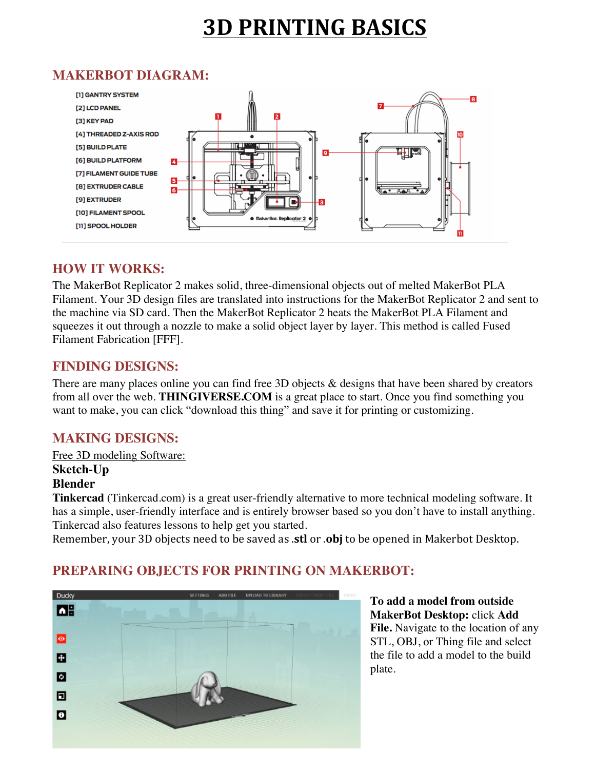# **3D PRINTING BASICS**

## **MAKERBOT DIAGRAM:**



## **HOW IT WORKS:**

The MakerBot Replicator 2 makes solid, three-dimensional objects out of melted MakerBot PLA Filament. Your 3D design files are translated into instructions for the MakerBot Replicator 2 and sent to the machine via SD card. Then the MakerBot Replicator 2 heats the MakerBot PLA Filament and squeezes it out through a nozzle to make a solid object layer by layer. This method is called Fused Filament Fabrication [FFF].

#### **FINDING DESIGNS:**

There are many places online you can find free 3D objects & designs that have been shared by creators from all over the web. **THINGIVERSE.COM** is a great place to start. Once you find something you want to make, you can click "download this thing" and save it for printing or customizing.

### **MAKING DESIGNS:**

Free 3D modeling Software:

#### **Sketch-Up Blender**

**Tinkercad** (Tinkercad.com) is a great user-friendly alternative to more technical modeling software. It has a simple, user-friendly interface and is entirely browser based so you don't have to install anything. Tinkercad also features lessons to help get you started.

Remember, your 3D objects need to be saved as **.stl** or **.obj** to be opened in Makerbot Desktop.



## **PREPARING OBJECTS FOR PRINTING ON MAKERBOT:**

**To add a model from outside MakerBot Desktop:** click **Add File.** Navigate to the location of any STL, OBJ, or Thing file and select the file to add a model to the build plate.